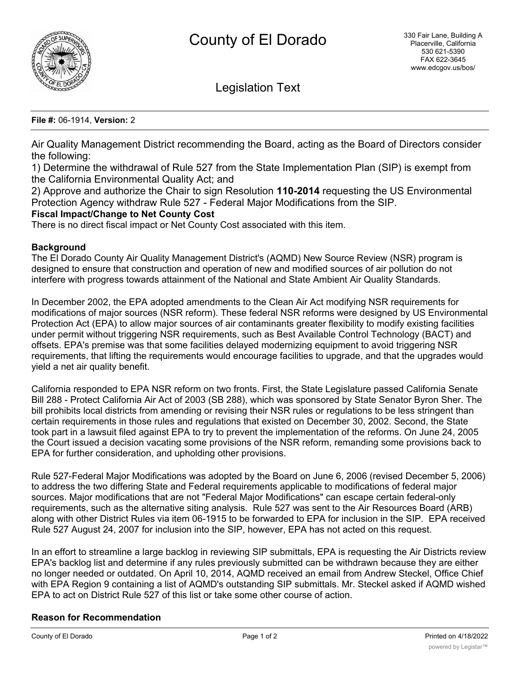

Legislation Text

### **File #:** 06-1914, **Version:** 2

Air Quality Management District recommending the Board, acting as the Board of Directors consider the following:

1) Determine the withdrawal of Rule 527 from the State Implementation Plan (SIP) is exempt from the California Environmental Quality Act; and

2) Approve and authorize the Chair to sign Resolution **110-2014** requesting the US Environmental Protection Agency withdraw Rule 527 - Federal Major Modifications from the SIP.

# **Fiscal Impact/Change to Net County Cost**

There is no direct fiscal impact or Net County Cost associated with this item.

### **Background**

The El Dorado County Air Quality Management District's (AQMD) New Source Review (NSR) program is designed to ensure that construction and operation of new and modified sources of air pollution do not interfere with progress towards attainment of the National and State Ambient Air Quality Standards.

In December 2002, the EPA adopted amendments to the Clean Air Act modifying NSR requirements for modifications of major sources (NSR reform). These federal NSR reforms were designed by US Environmental Protection Act (EPA) to allow major sources of air contaminants greater flexibility to modify existing facilities under permit without triggering NSR requirements, such as Best Available Control Technology (BACT) and offsets. EPA's premise was that some facilities delayed modernizing equipment to avoid triggering NSR requirements, that lifting the requirements would encourage facilities to upgrade, and that the upgrades would yield a net air quality benefit.

California responded to EPA NSR reform on two fronts. First, the State Legislature passed California Senate Bill 288 - Protect California Air Act of 2003 (SB 288), which was sponsored by State Senator Byron Sher. The bill prohibits local districts from amending or revising their NSR rules or regulations to be less stringent than certain requirements in those rules and regulations that existed on December 30, 2002. Second, the State took part in a lawsuit filed against EPA to try to prevent the implementation of the reforms. On June 24, 2005 the Court issued a decision vacating some provisions of the NSR reform, remanding some provisions back to EPA for further consideration, and upholding other provisions.

Rule 527-Federal Major Modifications was adopted by the Board on June 6, 2006 (revised December 5, 2006) to address the two differing State and Federal requirements applicable to modifications of federal major sources. Major modifications that are not "Federal Major Modifications" can escape certain federal-only requirements, such as the alternative siting analysis. Rule 527 was sent to the Air Resources Board (ARB) along with other District Rules via item 06-1915 to be forwarded to EPA for inclusion in the SIP. EPA received Rule 527 August 24, 2007 for inclusion into the SIP, however, EPA has not acted on this request.

In an effort to streamline a large backlog in reviewing SIP submittals, EPA is requesting the Air Districts review EPA's backlog list and determine if any rules previously submitted can be withdrawn because they are either no longer needed or outdated. On April 10, 2014, AQMD received an email from Andrew Steckel, Office Chief with EPA Region 9 containing a list of AQMD's outstanding SIP submittals. Mr. Steckel asked if AQMD wished EPA to act on District Rule 527 of this list or take some other course of action.

# **Reason for Recommendation**